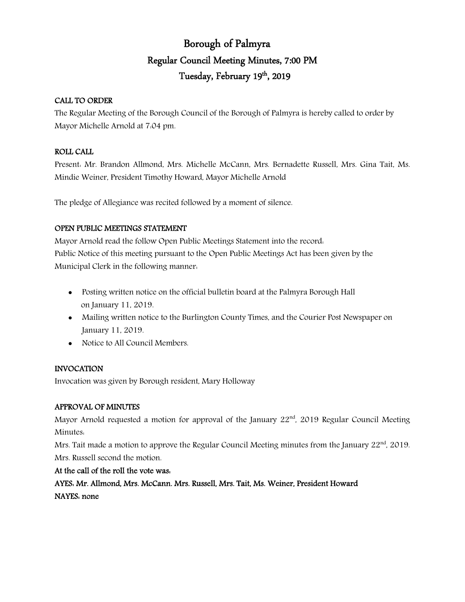# Borough of Palmyra Regular Council Meeting Minutes, 7:00 PM Tuesday, February 19<sup>th</sup>, 2019

### CALL TO ORDER

The Regular Meeting of the Borough Council of the Borough of Palmyra is hereby called to order by Mayor Michelle Arnold at 7:04 pm.

### ROLL CALL

Present: Mr. Brandon Allmond, Mrs. Michelle McCann, Mrs. Bernadette Russell, Mrs. Gina Tait, Ms. Mindie Weiner, President Timothy Howard, Mayor Michelle Arnold

The pledge of Allegiance was recited followed by a moment of silence.

## OPEN PUBLIC MEETINGS STATEMENT

Mayor Arnold read the follow Open Public Meetings Statement into the record: Public Notice of this meeting pursuant to the Open Public Meetings Act has been given by the Municipal Clerk in the following manner:

- Posting written notice on the official bulletin board at the Palmyra Borough Hall on January 11, 2019.
- Mailing written notice to the Burlington County Times, and the Courier Post Newspaper on January 11, 2019.
- Notice to All Council Members.

## INVOCATION

Invocation was given by Borough resident, Mary Holloway

#### APPROVAL OF MINUTES

Mayor Arnold requested a motion for approval of the January  $22<sup>nd</sup>$ , 2019 Regular Council Meeting Minutes:

Mrs. Tait made a motion to approve the Regular Council Meeting minutes from the January  $22<sup>nd</sup>$ , 2019. Mrs. Russell second the motion.

At the call of the roll the vote was: AYES: Mr. Allmond, Mrs. McCann. Mrs. Russell, Mrs. Tait, Ms. Weiner, President Howard NAYES: none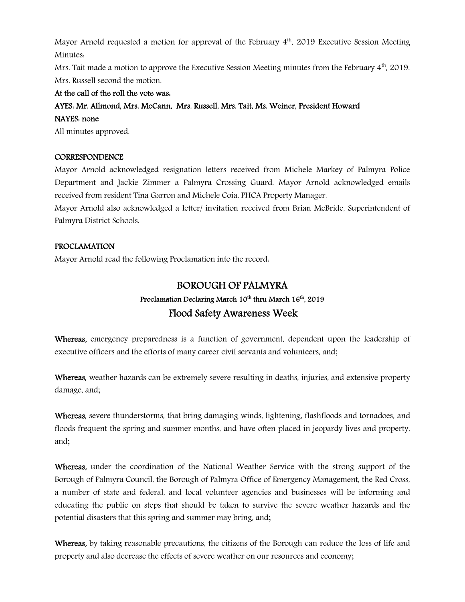Mayor Arnold requested a motion for approval of the February  $4<sup>th</sup>$ , 2019 Executive Session Meeting Minutes:

Mrs. Tait made a motion to approve the Executive Session Meeting minutes from the February 4<sup>th</sup>, 2019. Mrs. Russell second the motion.

### At the call of the roll the vote was:

## AYES: Mr. Allmond, Mrs. McCann, Mrs. Russell, Mrs. Tait, Ms. Weiner, President Howard NAYES: none

All minutes approved.

#### **CORRESPONDENCE**

Mayor Arnold acknowledged resignation letters received from Michele Markey of Palmyra Police Department and Jackie Zimmer a Palmyra Crossing Guard. Mayor Arnold acknowledged emails received from resident Tina Garron and Michele Coia, PHCA Property Manager.

Mayor Arnold also acknowledged a letter/ invitation received from Brian McBride, Superintendent of Palmyra District Schools.

#### PROCLAMATION

Mayor Arnold read the following Proclamation into the record:

## BOROUGH OF PALMYRA

## Proclamation Declaring March 10<sup>th</sup> thru March 16<sup>th</sup>, 2019 Flood Safety Awareness Week

Whereas, emergency preparedness is a function of government, dependent upon the leadership of executive officers and the efforts of many career civil servants and volunteers, and;

Whereas, weather hazards can be extremely severe resulting in deaths, injuries, and extensive property damage, and;

Whereas, severe thunderstorms, that bring damaging winds, lightening, flashfloods and tornadoes, and floods frequent the spring and summer months, and have often placed in jeopardy lives and property, and;

Whereas, under the coordination of the National Weather Service with the strong support of the Borough of Palmyra Council, the Borough of Palmyra Office of Emergency Management, the Red Cross, a number of state and federal, and local volunteer agencies and businesses will be informing and educating the public on steps that should be taken to survive the severe weather hazards and the potential disasters that this spring and summer may bring, and;

Whereas, by taking reasonable precautions, the citizens of the Borough can reduce the loss of life and property and also decrease the effects of severe weather on our resources and economy;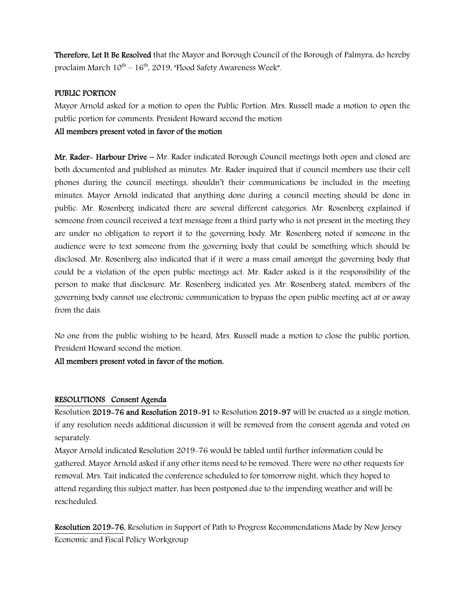Therefore, Let It Be Resolved that the Mayor and Borough Council of the Borough of Palmyra, do hereby proclaim March  $10^{th} - 16^{th}$ , 2019, "Flood Safety Awareness Week".

#### PUBLIC PORTION

Mayor Arnold asked for a motion to open the Public Portion. Mrs. Russell made a motion to open the public portion for comments. President Howard second the motion

#### All members present voted in favor of the motion

Mr. Rader- Harbour Drive – Mr. Rader indicated Borough Council meetings both open and closed are both documented and published as minutes. Mr. Rader inquired that if council members use their cell phones during the council meetings, shouldn't their communications be included in the meeting minutes. Mayor Arnold indicated that anything done during a council meeting should be done in public. Mr. Rosenberg indicated there are several different categories. Mr. Rosenberg explained if someone from council received a text message from a third party who is not present in the meeting they are under no obligation to report it to the governing body. Mr. Rosenberg noted if someone in the audience were to text someone from the governing body that could be something which should be disclosed. Mr. Rosenberg also indicated that if it were a mass email amongst the governing body that could be a violation of the open public meetings act. Mr. Rader asked is it the responsibility of the person to make that disclosure. Mr. Rosenberg indicated yes. Mr. Rosenberg stated, members of the governing body cannot use electronic communication to bypass the open public meeting act at or away from the dais.

No one from the public wishing to be heard, Mrs. Russell made a motion to close the public portion, President Howard second the motion.

All members present voted in favor of the motion.

#### RESOLUTIONS Consent Agenda

Resolution 2019-76 and Resolution 2019-91 to Resolution 2019-97 will be enacted as a single motion, if any resolution needs additional discussion it will be removed from the consent agenda and voted on separately.

Mayor Arnold indicated Resolution 2019-76 would be tabled until further information could be gathered. Mayor Arnold asked if any other items need to be removed. There were no other requests for removal. Mrs. Tait indicated the conference scheduled to for tomorrow night, which they hoped to attend regarding this subject matter, has been postponed due to the impending weather and will be rescheduled.

Resolution 2019-76, Resolution in Support of Path to Progress Recommendations Made by New Jersey Economic and Fiscal Policy Workgroup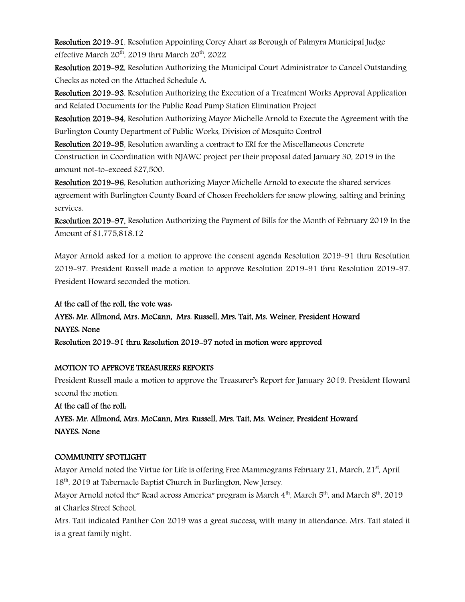Resolution 2019-91, Resolution Appointing Corey Ahart as Borough of Palmyra Municipal Judge effective March  $20^{th}$ , 2019 thru March  $20^{th}$ , 2022

Resolution 2019-92, Resolution Authorizing the Municipal Court Administrator to Cancel Outstanding Checks as noted on the Attached Schedule A.

Resolution 2019-93, Resolution Authorizing the Execution of a Treatment Works Approval Application and Related Documents for the Public Road Pump Station Elimination Project

Resolution 2019-94, Resolution Authorizing Mayor Michelle Arnold to Execute the Agreement with the Burlington County Department of Public Works, Division of Mosquito Control

Resolution 2019-95, Resolution awarding a contract to ERI for the Miscellaneous Concrete

Construction in Coordination with NJAWC project per their proposal dated January 30, 2019 in the amount not-to-exceed \$27,500.

Resolution 2019-96, Resolution authorizing Mayor Michelle Arnold to execute the shared services agreement with Burlington County Board of Chosen Freeholders for snow plowing, salting and brining services.

Resolution 2019-97, Resolution Authorizing the Payment of Bills for the Month of February 2019 In the Amount of \$1,775,818.12

Mayor Arnold asked for a motion to approve the consent agenda Resolution 2019-91 thru Resolution 2019-97. President Russell made a motion to approve Resolution 2019-91 thru Resolution 2019-97. President Howard seconded the motion.

At the call of the roll, the vote was: AYES: Mr. Allmond, Mrs. McCann, Mrs. Russell, Mrs. Tait, Ms. Weiner, President Howard NAYES: None Resolution 2019-91 thru Resolution 2019-97 noted in motion were approved

#### MOTION TO APPROVE TREASURERS REPORTS

President Russell made a motion to approve the Treasurer's Report for January 2019. President Howard second the motion.

At the call of the roll: AYES: Mr. Allmond, Mrs. McCann, Mrs. Russell, Mrs. Tait, Ms. Weiner, President Howard NAYES: None

## COMMUNITY SPOTLIGHT

Mayor Arnold noted the Virtue for Life is offering Free Mammograms February 21, March,  $21<sup>st</sup>$ , April 18<sup>th</sup>, 2019 at Tabernacle Baptist Church in Burlington, New Jersey.

Mayor Arnold noted the" Read across America" program is March  $4<sup>th</sup>$ , March  $5<sup>th</sup>$ , and March  $8<sup>th</sup>$ , 2019 at Charles Street School.

Mrs. Tait indicated Panther Con 2019 was a great success, with many in attendance. Mrs. Tait stated it is a great family night.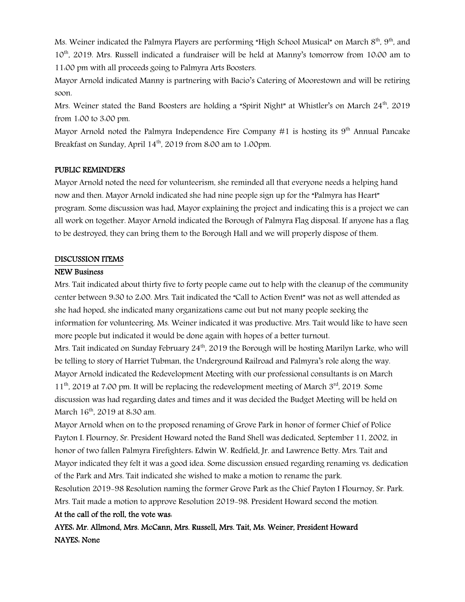Ms. Weiner indicated the Palmyra Players are performing "High School Musical" on March 8<sup>th</sup>, 9<sup>th</sup>, and 10th, 2019. Mrs. Russell indicated a fundraiser will be held at Manny's tomorrow from 10:00 am to 11:00 pm with all proceeds going to Palmyra Arts Boosters.

Mayor Arnold indicated Manny is partnering with Bacio's Catering of Moorestown and will be retiring soon.

Mrs. Weiner stated the Band Boosters are holding a "Spirit Night" at Whistler's on March  $24<sup>th</sup>$ , 2019 from 1:00 to 3:00 pm.

Mayor Arnold noted the Palmyra Independence Fire Company  $#1$  is hosting its  $9<sup>th</sup>$  Annual Pancake Breakfast on Sunday, April 14<sup>th</sup>, 2019 from 8:00 am to 1:00pm.

#### PUBLIC REMINDERS

Mayor Arnold noted the need for volunteerism, she reminded all that everyone needs a helping hand now and then. Mayor Arnold indicated she had nine people sign up for the "Palmyra has Heart" program. Some discussion was had, Mayor explaining the project and indicating this is a project we can all work on together. Mayor Arnold indicated the Borough of Palmyra Flag disposal. If anyone has a flag to be destroyed, they can bring them to the Borough Hall and we will properly dispose of them.

#### DISCUSSION ITEMS

#### NEW Business

Mrs. Tait indicated about thirty five to forty people came out to help with the cleanup of the community center between 9:30 to 2:00. Mrs. Tait indicated the "Call to Action Event" was not as well attended as she had hoped, she indicated many organizations came out but not many people seeking the information for volunteering. Ms. Weiner indicated it was productive. Mrs. Tait would like to have seen more people but indicated it would be done again with hopes of a better turnout.

Mrs. Tait indicated on Sunday February 24<sup>th</sup>, 2019 the Borough will be hosting Marilyn Larke, who will be telling to story of Harriet Tubman, the Underground Railroad and Palmyra's role along the way. Mayor Arnold indicated the Redevelopment Meeting with our professional consultants is on March  $11<sup>th</sup>$ , 2019 at 7:00 pm. It will be replacing the redevelopment meeting of March  $3<sup>rd</sup>$ , 2019. Some discussion was had regarding dates and times and it was decided the Budget Meeting will be held on March 16<sup>th</sup>, 2019 at 8:30 am.

Mayor Arnold when on to the proposed renaming of Grove Park in honor of former Chief of Police Payton I. Flournoy, Sr. President Howard noted the Band Shell was dedicated, September 11, 2002, in honor of two fallen Palmyra Firefighters: Edwin W. Redfield, Jr. and Lawrence Betty. Mrs. Tait and Mayor indicated they felt it was a good idea. Some discussion ensued regarding renaming vs. dedication of the Park and Mrs. Tait indicated she wished to make a motion to rename the park.

Resolution 2019-98 Resolution naming the former Grove Park as the Chief Payton I Flournoy, Sr. Park. Mrs. Tait made a motion to approve Resolution 2019-98. President Howard second the motion.

#### At the call of the roll, the vote was:

AYES: Mr. Allmond, Mrs. McCann, Mrs. Russell, Mrs. Tait, Ms. Weiner, President Howard NAYES: None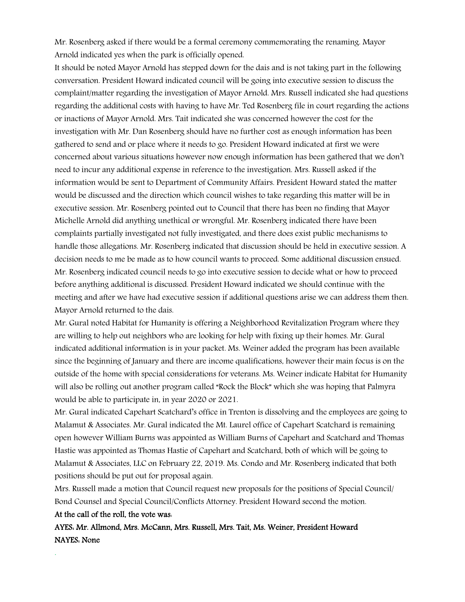Mr. Rosenberg asked if there would be a formal ceremony commemorating the renaming. Mayor Arnold indicated yes when the park is officially opened.

It should be noted Mayor Arnold has stepped down for the dais and is not taking part in the following conversation. President Howard indicated council will be going into executive session to discuss the complaint/matter regarding the investigation of Mayor Arnold. Mrs. Russell indicated she had questions regarding the additional costs with having to have Mr. Ted Rosenberg file in court regarding the actions or inactions of Mayor Arnold. Mrs. Tait indicated she was concerned however the cost for the investigation with Mr. Dan Rosenberg should have no further cost as enough information has been gathered to send and or place where it needs to go. President Howard indicated at first we were concerned about various situations however now enough information has been gathered that we don't need to incur any additional expense in reference to the investigation. Mrs. Russell asked if the information would be sent to Department of Community Affairs. President Howard stated the matter would be discussed and the direction which council wishes to take regarding this matter will be in executive session. Mr. Rosenberg pointed out to Council that there has been no finding that Mayor Michelle Arnold did anything unethical or wrongful. Mr. Rosenberg indicated there have been complaints partially investigated not fully investigated, and there does exist public mechanisms to handle those allegations. Mr. Rosenberg indicated that discussion should be held in executive session. A decision needs to me be made as to how council wants to proceed. Some additional discussion ensued. Mr. Rosenberg indicated council needs to go into executive session to decide what or how to proceed before anything additional is discussed. President Howard indicated we should continue with the meeting and after we have had executive session if additional questions arise we can address them then. Mayor Arnold returned to the dais.

Mr. Gural noted Habitat for Humanity is offering a Neighborhood Revitalization Program where they are willing to help out neighbors who are looking for help with fixing up their homes. Mr. Gural indicated additional information is in your packet. Ms. Weiner added the program has been available since the beginning of January and there are income qualifications, however their main focus is on the outside of the home with special considerations for veterans. Ms. Weiner indicate Habitat for Humanity will also be rolling out another program called "Rock the Block" which she was hoping that Palmyra would be able to participate in, in year 2020 or 2021.

Mr. Gural indicated Capehart Scatchard's office in Trenton is dissolving and the employees are going to Malamut & Associates. Mr. Gural indicated the Mt. Laurel office of Capehart Scatchard is remaining open however William Burns was appointed as William Burns of Capehart and Scatchard and Thomas Hastie was appointed as Thomas Hastie of Capehart and Scatchard, both of which will be going to Malamut & Associates, LLC on February 22, 2019. Ms. Condo and Mr. Rosenberg indicated that both positions should be put out for proposal again.

Mrs. Russell made a motion that Council request new proposals for the positions of Special Council/ Bond Counsel and Special Council/Conflicts Attorney. President Howard second the motion.

#### At the call of the roll, the vote was:

.

AYES: Mr. Allmond, Mrs. McCann, Mrs. Russell, Mrs. Tait, Ms. Weiner, President Howard NAYES: None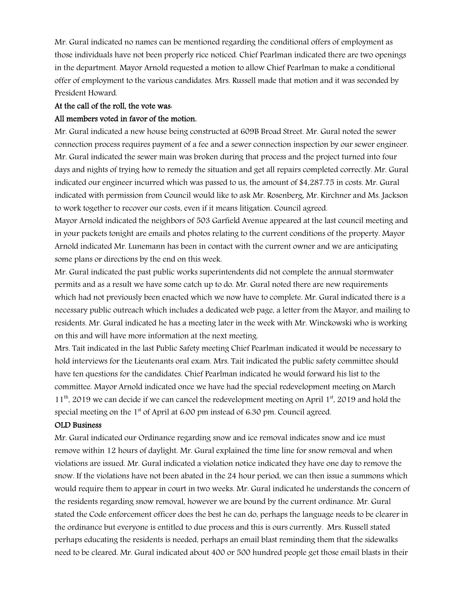Mr. Gural indicated no names can be mentioned regarding the conditional offers of employment as those individuals have not been properly rice noticed. Chief Pearlman indicated there are two openings in the department. Mayor Arnold requested a motion to allow Chief Pearlman to make a conditional offer of employment to the various candidates. Mrs. Russell made that motion and it was seconded by President Howard.

#### At the call of the roll, the vote was:

#### All members voted in favor of the motion.

Mr. Gural indicated a new house being constructed at 609B Broad Street. Mr. Gural noted the sewer connection process requires payment of a fee and a sewer connection inspection by our sewer engineer. Mr. Gural indicated the sewer main was broken during that process and the project turned into four days and nights of trying how to remedy the situation and get all repairs completed correctly. Mr. Gural indicated our engineer incurred which was passed to us, the amount of \$4,287.75 in costs. Mr. Gural indicated with permission from Council would like to ask Mr. Rosenberg, Mr. Kirchner and Ms. Jackson to work together to recover our costs, even if it means litigation. Council agreed.

Mayor Arnold indicated the neighbors of 503 Garfield Avenue appeared at the last council meeting and in your packets tonight are emails and photos relating to the current conditions of the property. Mayor Arnold indicated Mr. Lunemann has been in contact with the current owner and we are anticipating some plans or directions by the end on this week.

Mr. Gural indicated the past public works superintendents did not complete the annual stormwater permits and as a result we have some catch up to do. Mr. Gural noted there are new requirements which had not previously been enacted which we now have to complete. Mr. Gural indicated there is a necessary public outreach which includes a dedicated web page, a letter from the Mayor, and mailing to residents. Mr. Gural indicated he has a meeting later in the week with Mr. Winckowski who is working on this and will have more information at the next meeting.

Mrs. Tait indicated in the last Public Safety meeting Chief Pearlman indicated it would be necessary to hold interviews for the Lieutenants oral exam. Mrs. Tait indicated the public safety committee should have ten questions for the candidates. Chief Pearlman indicated he would forward his list to the committee. Mayor Arnold indicated once we have had the special redevelopment meeting on March  $11<sup>th</sup>$ , 2019 we can decide if we can cancel the redevelopment meeting on April  $1<sup>st</sup>$ , 2019 and hold the special meeting on the  $1<sup>st</sup>$  of April at 6.00 pm instead of 6.30 pm. Council agreed.

#### OLD Business

Mr. Gural indicated our Ordinance regarding snow and ice removal indicates snow and ice must remove within 12 hours of daylight. Mr. Gural explained the time line for snow removal and when violations are issued. Mr. Gural indicated a violation notice indicated they have one day to remove the snow. If the violations have not been abated in the 24 hour period, we can then issue a summons which would require them to appear in court in two weeks. Mr. Gural indicated he understands the concern of the residents regarding snow removal, however we are bound by the current ordinance. Mr. Gural stated the Code enforcement officer does the best he can do, perhaps the language needs to be clearer in the ordinance but everyone is entitled to due process and this is ours currently. Mrs. Russell stated perhaps educating the residents is needed, perhaps an email blast reminding them that the sidewalks need to be cleared. Mr. Gural indicated about 400 or 500 hundred people get those email blasts in their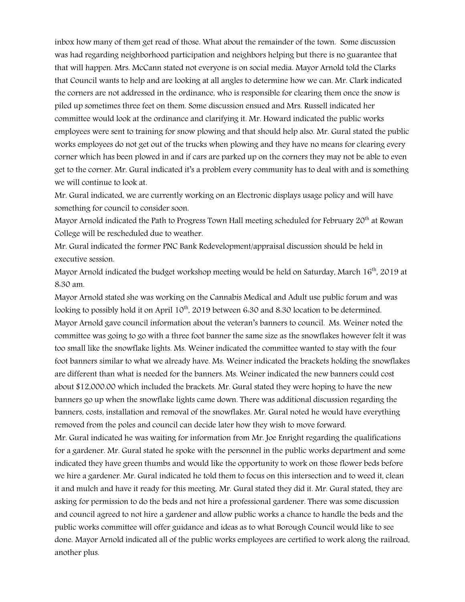inbox how many of them get read of those. What about the remainder of the town. Some discussion was had regarding neighborhood participation and neighbors helping but there is no guarantee that that will happen. Mrs. McCann stated not everyone is on social media. Mayor Arnold told the Clarks that Council wants to help and are looking at all angles to determine how we can. Mr. Clark indicated the corners are not addressed in the ordinance, who is responsible for clearing them once the snow is piled up sometimes three feet on them. Some discussion ensued and Mrs. Russell indicated her committee would look at the ordinance and clarifying it. Mr. Howard indicated the public works employees were sent to training for snow plowing and that should help also. Mr. Gural stated the public works employees do not get out of the trucks when plowing and they have no means for clearing every corner which has been plowed in and if cars are parked up on the corners they may not be able to even get to the corner. Mr. Gural indicated it's a problem every community has to deal with and is something we will continue to look at.

Mr. Gural indicated, we are currently working on an Electronic displays usage policy and will have something for council to consider soon.

Mayor Arnold indicated the Path to Progress Town Hall meeting scheduled for February 20<sup>th</sup> at Rowan College will be rescheduled due to weather.

Mr. Gural indicated the former PNC Bank Redevelopment/appraisal discussion should be held in executive session.

Mayor Arnold indicated the budget workshop meeting would be held on Saturday, March 16<sup>th</sup>, 2019 at 8:30 am.

Mayor Arnold stated she was working on the Cannabis Medical and Adult use public forum and was looking to possibly hold it on April 10<sup>th</sup>, 2019 between 6:30 and 8:30 location to be determined. Mayor Arnold gave council information about the veteran's banners to council. Ms. Weiner noted the committee was going to go with a three foot banner the same size as the snowflakes however felt it was too small like the snowflake lights. Ms. Weiner indicated the committee wanted to stay with the four foot banners similar to what we already have. Ms. Weiner indicated the brackets holding the snowflakes are different than what is needed for the banners. Ms. Weiner indicated the new banners could cost about \$12,000.00 which included the brackets. Mr. Gural stated they were hoping to have the new banners go up when the snowflake lights came down. There was additional discussion regarding the banners, costs, installation and removal of the snowflakes. Mr. Gural noted he would have everything removed from the poles and council can decide later how they wish to move forward.

Mr. Gural indicated he was waiting for information from Mr. Joe Enright regarding the qualifications for a gardener. Mr. Gural stated he spoke with the personnel in the public works department and some indicated they have green thumbs and would like the opportunity to work on those flower beds before we hire a gardener. Mr. Gural indicated he told them to focus on this intersection and to weed it, clean it and mulch and have it ready for this meeting. Mr. Gural stated they did it. Mr. Gural stated, they are asking for permission to do the beds and not hire a professional gardener. There was some discussion and council agreed to not hire a gardener and allow public works a chance to handle the beds and the public works committee will offer guidance and ideas as to what Borough Council would like to see done. Mayor Arnold indicated all of the public works employees are certified to work along the railroad, another plus.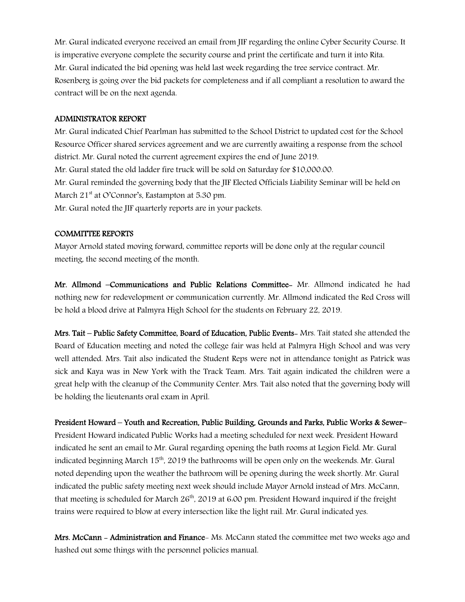Mr. Gural indicated everyone received an email from JIF regarding the online Cyber Security Course. It is imperative everyone complete the security course and print the certificate and turn it into Rita. Mr. Gural indicated the bid opening was held last week regarding the tree service contract. Mr. Rosenberg is going over the bid packets for completeness and if all compliant a resolution to award the contract will be on the next agenda.

#### ADMINISTRATOR REPORT

Mr. Gural indicated Chief Pearlman has submitted to the School District to updated cost for the School Resource Officer shared services agreement and we are currently awaiting a response from the school district. Mr. Gural noted the current agreement expires the end of June 2019. Mr. Gural stated the old ladder fire truck will be sold on Saturday for \$10,000.00. Mr. Gural reminded the governing body that the JIF Elected Officials Liability Seminar will be held on March 21<sup>st</sup> at O'Connor's, Eastampton at 5.30 pm.

Mr. Gural noted the JIF quarterly reports are in your packets.

#### COMMITTEE REPORTS

Mayor Arnold stated moving forward, committee reports will be done only at the regular council meeting, the second meeting of the month.

Mr. Allmond –Communications and Public Relations Committee- Mr. Allmond indicated he had nothing new for redevelopment or communication currently. Mr. Allmond indicated the Red Cross will be hold a blood drive at Palmyra High School for the students on February 22, 2019.

Mrs. Tait – Public Safety Committee, Board of Education, Public Events- Mrs. Tait stated she attended the Board of Education meeting and noted the college fair was held at Palmyra High School and was very well attended. Mrs. Tait also indicated the Student Reps were not in attendance tonight as Patrick was sick and Kaya was in New York with the Track Team. Mrs. Tait again indicated the children were a great help with the cleanup of the Community Center. Mrs. Tait also noted that the governing body will be holding the lieutenants oral exam in April.

#### President Howard – Youth and Recreation, Public Building, Grounds and Parks, Public Works & Sewer–

President Howard indicated Public Works had a meeting scheduled for next week. President Howard indicated he sent an email to Mr. Gural regarding opening the bath rooms at Legion Field. Mr. Gural indicated beginning March 15<sup>th</sup>, 2019 the bathrooms will be open only on the weekends. Mr. Gural noted depending upon the weather the bathroom will be opening during the week shortly. Mr. Gural indicated the public safety meeting next week should include Mayor Arnold instead of Mrs. McCann, that meeting is scheduled for March  $26<sup>th</sup>$ , 2019 at 6:00 pm. President Howard inquired if the freight trains were required to blow at every intersection like the light rail. Mr. Gural indicated yes.

Mrs. McCann - Administration and Finance- Ms. McCann stated the committee met two weeks ago and hashed out some things with the personnel policies manual.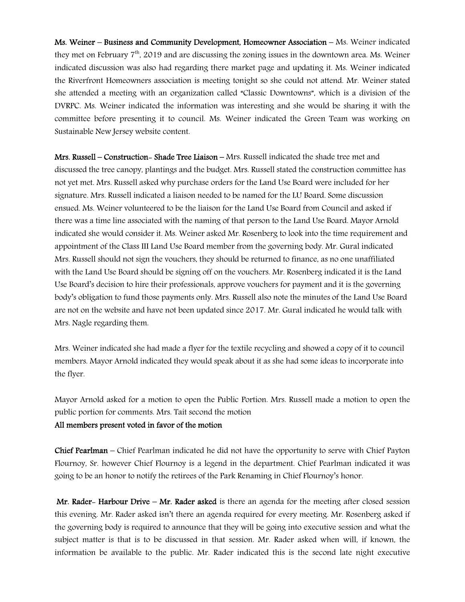Ms. Weiner – Business and Community Development, Homeowner Association – Ms. Weiner indicated they met on February 7th, 2019 and are discussing the zoning issues in the downtown area. Ms. Weiner indicated discussion was also had regarding there market page and updating it. Ms. Weiner indicated the Riverfront Homeowners association is meeting tonight so she could not attend. Mr. Weiner stated she attended a meeting with an organization called "Classic Downtowns", which is a division of the DVRPC. Ms. Weiner indicated the information was interesting and she would be sharing it with the committee before presenting it to council. Ms. Weiner indicated the Green Team was working on Sustainable New Jersey website content.

Mrs. Russell – Construction- Shade Tree Liaison – Mrs. Russell indicated the shade tree met and discussed the tree canopy, plantings and the budget. Mrs. Russell stated the construction committee has not yet met. Mrs. Russell asked why purchase orders for the Land Use Board were included for her signature. Mrs. Russell indicated a liaison needed to be named for the LU Board. Some discussion ensued. Ms. Weiner volunteered to be the liaison for the Land Use Board from Council and asked if there was a time line associated with the naming of that person to the Land Use Board. Mayor Arnold indicated she would consider it. Ms. Weiner asked Mr. Rosenberg to look into the time requirement and appointment of the Class III Land Use Board member from the governing body. Mr. Gural indicated Mrs. Russell should not sign the vouchers, they should be returned to finance, as no one unaffiliated with the Land Use Board should be signing off on the vouchers. Mr. Rosenberg indicated it is the Land Use Board's decision to hire their professionals, approve vouchers for payment and it is the governing body's obligation to fund those payments only. Mrs. Russell also note the minutes of the Land Use Board are not on the website and have not been updated since 2017. Mr. Gural indicated he would talk with Mrs. Nagle regarding them.

Mrs. Weiner indicated she had made a flyer for the textile recycling and showed a copy of it to council members. Mayor Arnold indicated they would speak about it as she had some ideas to incorporate into the flyer.

Mayor Arnold asked for a motion to open the Public Portion. Mrs. Russell made a motion to open the public portion for comments. Mrs. Tait second the motion

#### All members present voted in favor of the motion

Chief Pearlman – Chief Pearlman indicated he did not have the opportunity to serve with Chief Payton Flournoy, Sr. however Chief Flournoy is a legend in the department. Chief Pearlman indicated it was going to be an honor to notify the retirees of the Park Renaming in Chief Flournoy's honor.

Mr. Rader- Harbour Drive – Mr. Rader asked is there an agenda for the meeting after closed session this evening. Mr. Rader asked isn't there an agenda required for every meeting. Mr. Rosenberg asked if the governing body is required to announce that they will be going into executive session and what the subject matter is that is to be discussed in that session. Mr. Rader asked when will, if known, the information be available to the public. Mr. Rader indicated this is the second late night executive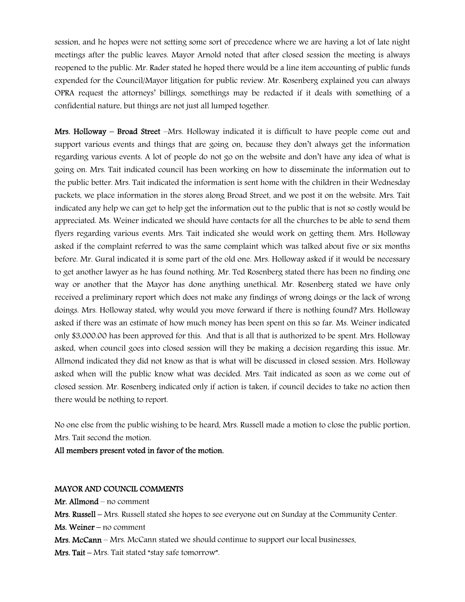session, and he hopes were not setting some sort of precedence where we are having a lot of late night meetings after the public leaves. Mayor Arnold noted that after closed session the meeting is always reopened to the public. Mr. Rader stated he hoped there would be a line item accounting of public funds expended for the Council/Mayor litigation for public review. Mr. Rosenberg explained you can always OPRA request the attorneys' billings, somethings may be redacted if it deals with something of a confidential nature, but things are not just all lumped together.

Mrs. Holloway – Broad Street – Mrs. Holloway indicated it is difficult to have people come out and support various events and things that are going on, because they don't always get the information regarding various events. A lot of people do not go on the website and don't have any idea of what is going on. Mrs. Tait indicated council has been working on how to disseminate the information out to the public better. Mrs. Tait indicated the information is sent home with the children in their Wednesday packets, we place information in the stores along Broad Street, and we post it on the website. Mrs. Tait indicated any help we can get to help get the information out to the public that is not so costly would be appreciated. Ms. Weiner indicated we should have contacts for all the churches to be able to send them flyers regarding various events. Mrs. Tait indicated she would work on getting them. Mrs. Holloway asked if the complaint referred to was the same complaint which was talked about five or six months before. Mr. Gural indicated it is some part of the old one. Mrs. Holloway asked if it would be necessary to get another lawyer as he has found nothing. Mr. Ted Rosenberg stated there has been no finding one way or another that the Mayor has done anything unethical. Mr. Rosenberg stated we have only received a preliminary report which does not make any findings of wrong doings or the lack of wrong doings. Mrs. Holloway stated, why would you move forward if there is nothing found? Mrs. Holloway asked if there was an estimate of how much money has been spent on this so far. Ms. Weiner indicated only \$3,000.00 has been approved for this. And that is all that is authorized to be spent. Mrs. Holloway asked, when council goes into closed session will they be making a decision regarding this issue. Mr. Allmond indicated they did not know as that is what will be discussed in closed session. Mrs. Holloway asked when will the public know what was decided. Mrs. Tait indicated as soon as we come out of closed session. Mr. Rosenberg indicated only if action is taken, if council decides to take no action then there would be nothing to report.

No one else from the public wishing to be heard, Mrs. Russell made a motion to close the public portion, Mrs. Tait second the motion.

All members present voted in favor of the motion.

#### MAYOR AND COUNCIL COMMENTS

Mr. Allmond – no comment Mrs. Russell – Mrs. Russell stated she hopes to see everyone out on Sunday at the Community Center. Ms. Weiner – no comment Mrs. McCann – Mrs. McCann stated we should continue to support our local businesses. Mrs. Tait – Mrs. Tait stated "stay safe tomorrow".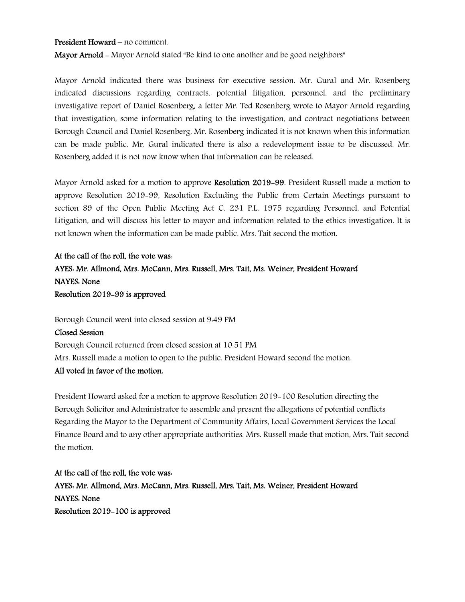#### President Howard – no comment.

Mayor Arnold - Mayor Arnold stated "Be kind to one another and be good neighbors"

Mayor Arnold indicated there was business for executive session. Mr. Gural and Mr. Rosenberg indicated discussions regarding contracts, potential litigation, personnel, and the preliminary investigative report of Daniel Rosenberg, a letter Mr. Ted Rosenberg wrote to Mayor Arnold regarding that investigation, some information relating to the investigation, and contract negotiations between Borough Council and Daniel Rosenberg. Mr. Rosenberg indicated it is not known when this information can be made public. Mr. Gural indicated there is also a redevelopment issue to be discussed. Mr. Rosenberg added it is not now know when that information can be released.

Mayor Arnold asked for a motion to approve Resolution 2019–99. President Russell made a motion to approve Resolution 2019-99, Resolution Excluding the Public from Certain Meetings pursuant to section 89 of the Open Public Meeting Act C. 231 P.L. 1975 regarding Personnel, and Potential Litigation, and will discuss his letter to mayor and information related to the ethics investigation. It is not known when the information can be made public. Mrs. Tait second the motion.

## At the call of the roll, the vote was: AYES: Mr. Allmond, Mrs. McCann, Mrs. Russell, Mrs. Tait, Ms. Weiner, President Howard NAYES: None Resolution 2019-99 is approved

Borough Council went into closed session at 9:49 PM

#### Closed Session

Borough Council returned from closed session at 10:51 PM Mrs. Russell made a motion to open to the public. President Howard second the motion.

#### All voted in favor of the motion.

President Howard asked for a motion to approve Resolution 2019-100 Resolution directing the Borough Solicitor and Administrator to assemble and present the allegations of potential conflicts Regarding the Mayor to the Department of Community Affairs, Local Government Services the Local Finance Board and to any other appropriate authorities. Mrs. Russell made that motion, Mrs. Tait second the motion.

At the call of the roll, the vote was: AYES: Mr. Allmond, Mrs. McCann, Mrs. Russell, Mrs. Tait, Ms. Weiner, President Howard NAYES: None Resolution 2019-100 is approved